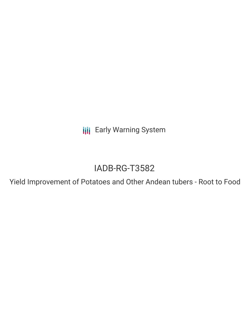**III** Early Warning System

# IADB-RG-T3582

Yield Improvement of Potatoes and Other Andean tubers - Root to Food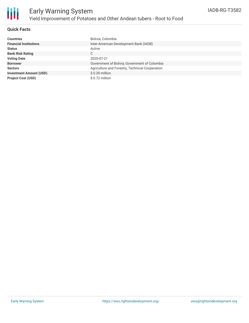

### **Quick Facts**

| Countries                      | Bolivia, Colombia                               |
|--------------------------------|-------------------------------------------------|
| <b>Financial Institutions</b>  | Inter-American Development Bank (IADB)          |
| Status                         | Active                                          |
| <b>Bank Risk Rating</b>        | C                                               |
| <b>Voting Date</b>             | 2020-07-21                                      |
| <b>Borrower</b>                | Government of Bolivia; Government of Colombia   |
| <b>Sectors</b>                 | Agriculture and Forestry, Technical Cooperation |
| <b>Investment Amount (USD)</b> | $$0.20$ million                                 |
| <b>Project Cost (USD)</b>      | \$ 0.72 million                                 |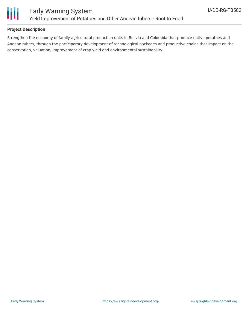

## **Project Description**

Strengthen the economy of family agricultural production units in Bolivia and Colombia that produce native potatoes and Andean tubers, through the participatory development of technological packages and productive chains that impact on the conservation, valuation, improvement of crop yield and environmental sustainability.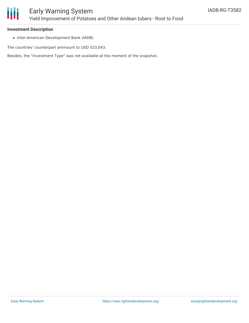

# Early Warning System Yield Improvement of Potatoes and Other Andean tubers - Root to Food

### **Investment Description**

• Inter-American Development Bank (IADB)

The countries' counterpart ammount to USD 523,043.

Besides, the "Investment Type" was not available at the moment of the snapshot.